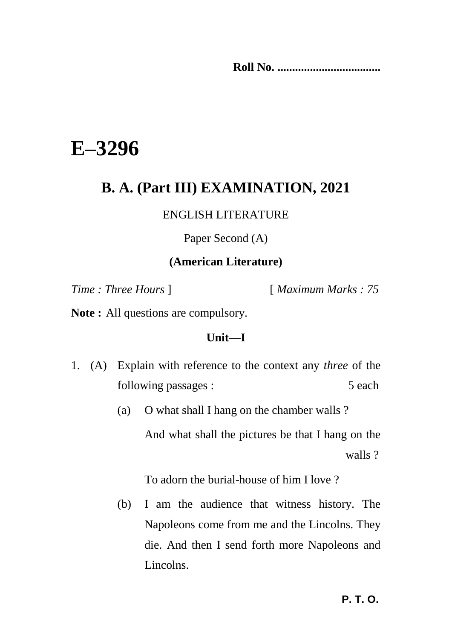**Roll No. ...................................** 

# **E–3296**

# **B. A. (Part III) EXAMINATION, 2021**

### ENGLISH LITERATURE

Paper Second (A)

#### **(American Literature)**

*Time : Three Hours* ] [ *Maximum Marks : 75*

**Note :** All questions are compulsory.

#### **Unit—I**

- 1. (A) Explain with reference to the context any *three* of the following passages : 5 each
	- (a) O what shall I hang on the chamber walls ? And what shall the pictures be that I hang on the walls ?

To adorn the burial-house of him I love ?

(b) I am the audience that witness history. The Napoleons come from me and the Lincolns. They die. And then I send forth more Napoleons and Lincolns.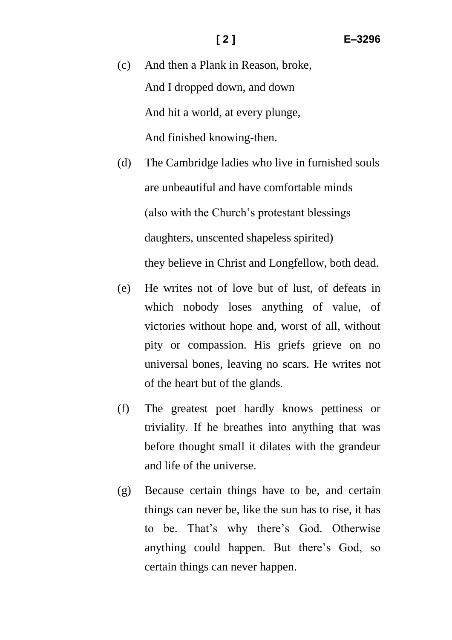- (c) And then a Plank in Reason, broke, And I dropped down, and down And hit a world, at every plunge, And finished knowing-then.
- (d) The Cambridge ladies who live in furnished souls are unbeautiful and have comfortable minds (also with the Church"s protestant blessings daughters, unscented shapeless spirited) they believe in Christ and Longfellow, both dead.
- (e) He writes not of love but of lust, of defeats in which nobody loses anything of value, of victories without hope and, worst of all, without pity or compassion. His griefs grieve on no universal bones, leaving no scars. He writes not of the heart but of the glands.
- (f) The greatest poet hardly knows pettiness or triviality. If he breathes into anything that was before thought small it dilates with the grandeur and life of the universe.
- (g) Because certain things have to be, and certain things can never be, like the sun has to rise, it has to be. That"s why there"s God. Otherwise anything could happen. But there"s God, so certain things can never happen.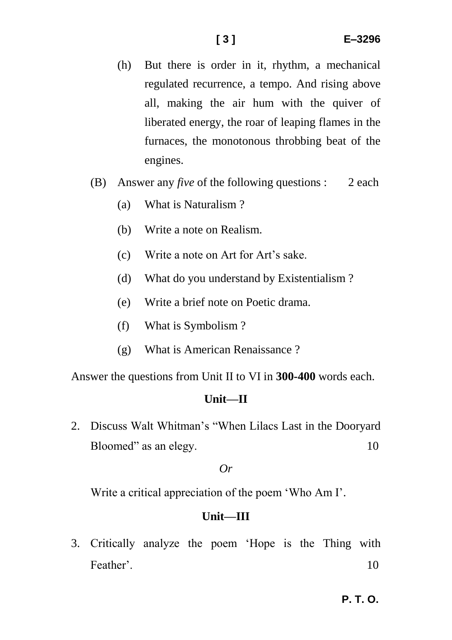- (h) But there is order in it, rhythm, a mechanical regulated recurrence, a tempo. And rising above all, making the air hum with the quiver of liberated energy, the roar of leaping flames in the furnaces, the monotonous throbbing beat of the engines.
- (B) Answer any *five* of the following questions : 2 each
	- (a) What is Naturalism ?
	- (b) Write a note on Realism.
	- (c) Write a note on Art for Art"s sake.
	- (d) What do you understand by Existentialism ?
	- (e) Write a brief note on Poetic drama.
	- (f) What is Symbolism ?
	- (g) What is American Renaissance ?

Answer the questions from Unit II to VI in **300-400** words each.

#### **Unit—II**

2. Discuss Walt Whitman"s "When Lilacs Last in the Dooryard Bloomed" as an elegy. 10

#### *Or*

Write a critical appreciation of the poem 'Who Am I'.

#### **Unit—III**

3. Critically analyze the poem "Hope is the Thing with Feather" 10